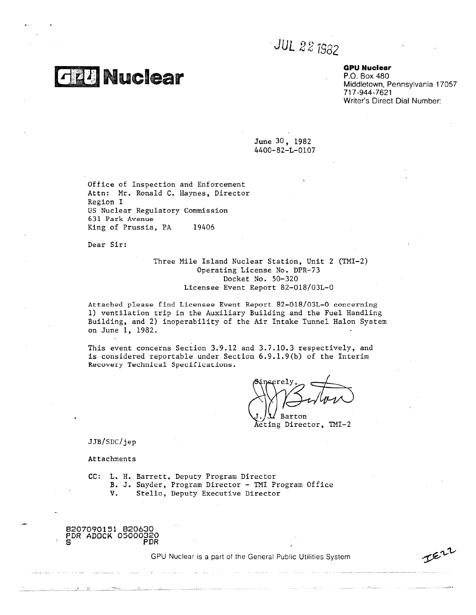*JUL 22 1982* 

# **GPU Nuclear**

P.O. Box 480 Middletown, Pennsylvania 17057 717-944-7621 Writer's Direct Dial Number:

June 30, 1982 4400-82-L-0107

Office of Inspection and Enforcement Attn: Mr, Ronald C. Haynes, Director Region I US Nuclear Regulatory Commission 631 Park Avenue Office of Inspection and Enfo<br>Attn: Mr. Ronald C. Haynes,<br>Region I<br>US Nuclear Regulatory Commiss<br>631 Park Avenue<br>King of Prussia, PA 19406<br>Dear Sir:

**1 21**

Dear Sir:

**G20** Nuclear

# Three Mile Island Nuclear Station, Unit 2 (TMI-2) Operating License No, DPR-73 Docket No. 50-320 Licensee Event Report 82-018/03L-0

Attached please find Licensee Event Report 82-018/03L-0 concerning 1) ventilation trip in the Auxiliary Building and the Fuel Handling Building, and 2) inoperability of the Air Intake Tunnel Halon System on June 1, 1982.

This event concerns Section 3.9.12 and 3.7.10.3 respectively, and is considered reportable under Section 6.9.1.9(b) of the Interim Recovery Technical Specifications.

Barton

JJB/SDC/jep

Attachments

CC: **L.** H. Barrett, Deputy Program Director B. J. Snyder, Program Director - TMI Program Office DC/jep<br>
NEC/jep<br>
hments<br>
L. H. Barrett, Deputy Program Director<br>
B. J. Snyder, Program Director - TMI Pr<br>
V. Stello, Deputy Executive Director<br>
V. Stello, Deputy Executive Director JJB/SDC/jep<br>
Attachments<br>
CC: L. H. Barre<br>
B. J. Snyde<br>
V. Stell<br>
B207090151 B20630<br>PDR ADOCK 05000320<br>
S

8207090151 820630 PDR ADOCK 05000320

GPU Nuclear is a part of the General Public Utilities System

 $I^{\epsilon11}$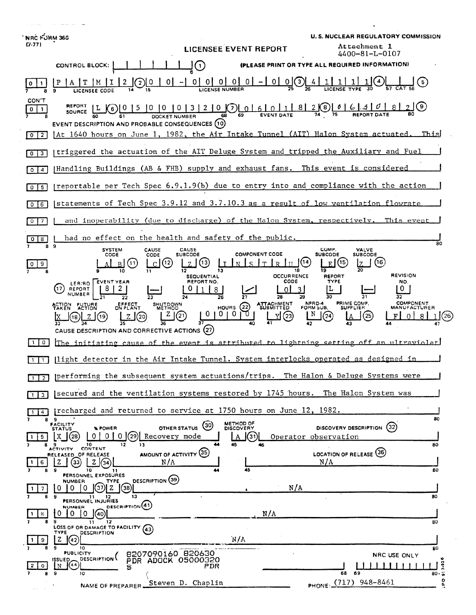| <b>NRC FORM 366</b><br>(7.77)                                                                                                                                                                                                 | <b>U. S. NUCLEAR REGULATORY COMMISSION</b><br><b>Attachment 1</b>                                                 |
|-------------------------------------------------------------------------------------------------------------------------------------------------------------------------------------------------------------------------------|-------------------------------------------------------------------------------------------------------------------|
| <b>LICENSEE EVENT REPORT</b>                                                                                                                                                                                                  | 4400-81-L-0107                                                                                                    |
| (PLEASE PRINT OR TYPE ALL REQUIRED INFORMATION)<br>$\left( \cdot \right)$<br><b>CONTROL BLOCK:</b>                                                                                                                            |                                                                                                                   |
| $\underbrace{0 \mid 0 \mid 0 \mid 0 \mid - \mid 0 \mid 0}_{2}$<br>$\mathbf{2}$                                                                                                                                                |                                                                                                                   |
| <b>CON'T</b><br>SOURCE $L(K_6)$<br>$\mathbf{0}$<br>$\mathbf{1}$<br>68<br>EVENT DESCRIPTION AND PROBABLE CONSEQUENCES (10)<br>[At 1640 hours on June 1, 1982, the Air Intake Tunnel (AIT) Halon System actuated.<br>$0 \mid 2$ | This                                                                                                              |
| Itriggered the actuation of the AIT Deluge System and tripped the Auxiliary and Fuel<br>0 <sup>13</sup>                                                                                                                       |                                                                                                                   |
| Handling Buildings (AB & FHB) supply and exhaust fans. This event is considered<br>$0$   4                                                                                                                                    |                                                                                                                   |
| preportable per Tech Spec 6.9.1.9(b) due to entry into and compliance with the action<br>5<br>$0-1$                                                                                                                           |                                                                                                                   |
| statements of Tech Spec 3.9.12 and 3.7.10.3 as a result of low ventilation flowrate<br>$6^{\circ}$<br>$\Omega$                                                                                                                |                                                                                                                   |
| and inoperability (due to discharge) of the Halon System, respectively. This event<br>$\mathbf{O}$<br>$\overline{\phantom{a}}$                                                                                                |                                                                                                                   |
| had no effect on the health and safety of the public.<br>8 <sup>1</sup><br>0 <sup>1</sup><br>89                                                                                                                               | 80                                                                                                                |
| <b>SYSTEM</b><br><b>CAUSE</b><br>CAUSE<br><b>COMPONENT CODE</b><br>CODE<br><b>SUBCODE</b><br>CODE<br>13<br>12<br>ς.                                                                                                           | COMP.<br>VALVE<br><b>SUBCODE</b><br><b>SUBCODE</b><br>(16)                                                        |
| 9<br><b>OCCURRENCE</b><br><b>SEQUENTIAL</b>                                                                                                                                                                                   | <b>REVISION</b><br><b>REPORT</b>                                                                                  |
| <b>CODE</b><br>LER/RO EVENT YEAR<br>REPORT NO.<br>17<br>REPORT<br>8<br>NUMBER                                                                                                                                                 | <b>TYPE</b><br>NO.                                                                                                |
| 26<br><b>ATTACHMENT</b><br>ACTION FUTURE<br>EFFECT<br>ON PLANT<br>SHUTDOWN<br>HOURS $(22)$<br>0 <sub>1</sub><br>(20)<br>$^{(23)}$<br>CAUSE DESCRIPTION AND CORRECTIVE ACTIONS (27)                                            | PRIME COMP.<br><b>COMPONENT</b><br>NPRD-4<br>FORM SUB.<br><b>SUPPLIER</b><br>MANUFACTURER<br>N<br>$^{(24)}$<br>25 |
| $\mathbf 0$<br>The initiating cause of the event is attributed to lightning setting off an ultraviolet                                                                                                                        |                                                                                                                   |
| light detector in the Air Intake Tunnel. System interlocks operated as designed in                                                                                                                                            |                                                                                                                   |
| performing the subsequent system actuations/trips. The Halon & Deluge Systems were<br>$1$   2                                                                                                                                 |                                                                                                                   |
| secured and the ventilation systems restored by 1745 hours. The Halon System was<br>l 3 l                                                                                                                                     |                                                                                                                   |
| precharged and returned to service at 1750 hours on June 12, 1982.<br>$\sim$                                                                                                                                                  |                                                                                                                   |
| 89<br>METHOD OF<br>DISCOVERY<br><b>FACILITY</b><br>OTHER STATUS (30)<br>% POWER<br><b>STATUS</b><br>01<br>Recovery mode<br>0<br>' 29<br>(31)<br>5.                                                                            | 80<br>(32)<br>DISCOVERY DESCRIPTION<br>Operator observation                                                       |
| 45<br>10<br>$12 \,$<br>13<br>46<br>8.<br>CONTENT<br><b>ACTIVITY</b><br>AMOUNT OF ACTIVITY (35)<br>RELEASED OF RELEASE<br>N/A<br>z<br>(33)<br>44)<br>Z.<br>6                                                                   | 80<br>LOCATION OF RELEASE (36)<br>N/A                                                                             |
| 45<br>10<br>11<br>PERSONNEL EXPOSURES<br>DESCRIPTION (39)<br><b>NUMBER</b><br>TYPE                                                                                                                                            | 80                                                                                                                |
| N/A<br>z<br>(38)<br>0<br>0<br>37)<br>0<br>13<br>9<br>PERSONNEL INJURIES                                                                                                                                                       | 80                                                                                                                |
| <b>DESCRIPTION</b> (41)<br><b>NUMBER</b><br>N/A<br>0<br>$\mathbf{0}$<br>10.<br>8.<br>I(40)<br>8                                                                                                                               |                                                                                                                   |
| 9<br>12<br>11<br>LOSS OF OR DAMAGE TO FACILITY (43)<br><b>DESCRIPTION</b><br>TYPE                                                                                                                                             | 80                                                                                                                |
| 'N/A<br>z<br>(42)<br>9<br>10<br>8207090160 820630<br><b>PUBLICITY</b>                                                                                                                                                         | 80                                                                                                                |
| <b>DESCRIPTION</b><br>ISSUED.<br>PDR ADOCK 05000320<br>(44)<br>N<br>PDR<br>٥<br>5                                                                                                                                             | NRC USE ONLY<br>3.92                                                                                              |
| 9<br>10<br>Steven D. Chaplin<br>NAME OF PREPARER.                                                                                                                                                                             | 69<br>68<br>80.5<br>۰<br>PHONE (717) 948-8461<br>٩                                                                |

 $\label{eq:1} \left\langle \rho_{\rm{max}}(\rho_{\rm{max}}) \right\rangle = \left\langle \rho_{\rm{max}}(\rho_{\rm{max}}) \right\rangle + \left\langle \rho_{\rm{max}}(\rho_{\rm{max}}) \right\rangle + \left\langle \rho_{\rm{max}}(\rho_{\rm{max}}) \right\rangle$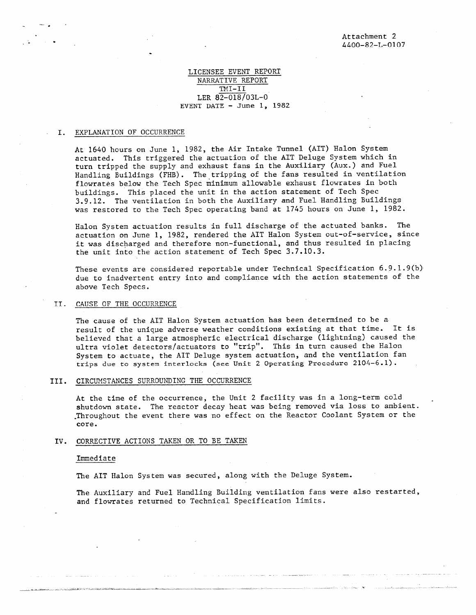## LICENSEE EVENT REPORT NARRATIVE REPORT TMI-II LER 82-018/03L-0 EVENT DATE  $-$  June 1, 1982

## I. EXPLANATION OF OCCURRENCE

At 1640 hours on June 1, 1982, the Air Intake Tunnel (AIT) Halon System actuated. This triggered the actuation of the AIT Deluge System which in turn tripped the supply and exhaust fans in the Auxiliary (Aux.) and Fuel Handling Buildings (FHB). The tripping of the fans resulted in ventilation flowratés below the Tech Spec minimum allowable exhaust flowrates in both buildings. This placed the unit in the action statement of Tech Spec 3.9.12. The ventilation in both the Auxiliary and Fuel Handling Buildings was restored to the Tech Spec operating band at 1745 hours on June 1, 1982.

Halon System actuation results in full discharge of the actuated banks. The actuation on June 1, 1982, rendered the AIT Halon System out-of-service, since it was discharged and therefore non-functional, and thus resulted in placing the unit into the action statement of Tech Spec 3.7.10.3.

These events are considered reportable under Technical Specification 6.9.1.9(b) due to inadvertent entry into and compliance with the action statements of the above Tech Specs.

#### IT. CAUSE OF THE OCCURRENCE

The cause of the AIT Halon System actuation has been determined to be a result of the unique adverse weather conditions existing at that time. It is believed that a large atmospheric electrical discharge (lightning) caused the ultra violet detectors/actuators to "trip". This in turn caused the Halon System to actuate, the AIT Deluge system actuation, and the ventilation fan trips due to system interlocks (see Unit 2 Operating Procedure 2104-6.1).

## III. CIRCUMSTANCES SURROUNDING THE OCCURRENCE

At the time of the occurrence, the Unit 2 facility was in a long-term cold shutdown state. The reactor decay heat was being removed via loss to ambient. •Throughout the event there was no effect on the Reactor Coolant System or the core.

#### IV. CORRECTIVE ACTIONS TAKEN OR TO BE TAKEN

#### Immediate

The AIT Halon System was secured, along with the Deluge System.

The Auxiliary and Fuel Handling Building ventilation fans were also restarted, and flowrates returned to Technical Specification limits.